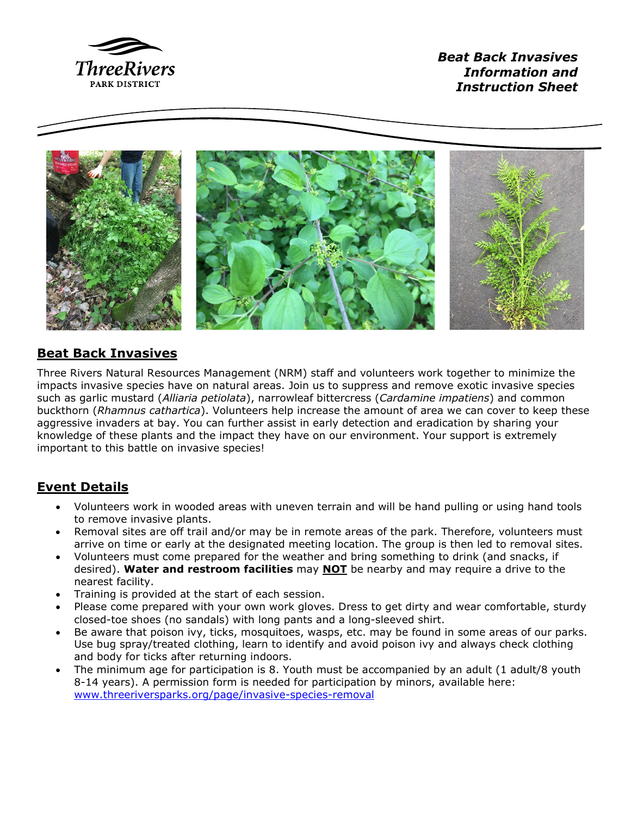

*Beat Back Invasives Information and Instruction Sheet*



## **Beat Back Invasives**

Three Rivers Natural Resources Management (NRM) staff and volunteers work together to minimize the impacts invasive species have on natural areas. Join us to suppress and remove exotic invasive species such as garlic mustard (*Alliaria petiolata*), narrowleaf bittercress (*Cardamine impatiens*) and common buckthorn (*Rhamnus cathartica*). Volunteers help increase the amount of area we can cover to keep these aggressive invaders at bay. You can further assist in early detection and eradication by sharing your knowledge of these plants and the impact they have on our environment. Your support is extremely important to this battle on invasive species!

# **Event Details**

- Volunteers work in wooded areas with uneven terrain and will be hand pulling or using hand tools to remove invasive plants.
- Removal sites are off trail and/or may be in remote areas of the park. Therefore, volunteers must arrive on time or early at the designated meeting location. The group is then led to removal sites.
- Volunteers must come prepared for the weather and bring something to drink (and snacks, if desired). **Water and restroom facilities** may **NOT** be nearby and may require a drive to the nearest facility.
- Training is provided at the start of each session.
- Please come prepared with your own work gloves. Dress to get dirty and wear comfortable, sturdy closed-toe shoes (no sandals) with long pants and a long-sleeved shirt.
- Be aware that poison ivy, ticks, mosquitoes, wasps, etc. may be found in some areas of our parks. Use bug spray/treated clothing, learn to identify and avoid poison ivy and always check clothing and body for ticks after returning indoors.
- The minimum age for participation is 8. Youth must be accompanied by an adult (1 adult/8 youth 8-14 years). A permission form is needed for participation by minors, available here: [www.threeriversparks.org/page/invasive-species-removal](http://www.threeriversparks.org/page/invasive-species-removal)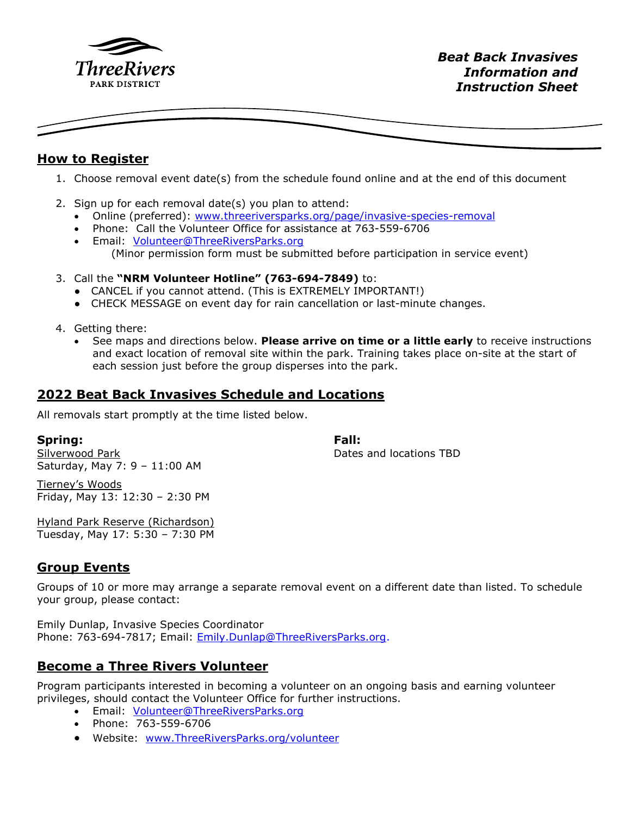

#### **How to Register**

- 1. Choose removal event date(s) from the schedule found online and at the end of this document
- 2. Sign up for each removal date(s) you plan to attend:
	- Online (preferred): [www.threeriversparks.org/page/invasive-species-removal](http://www.threeriversparks.org/page/invasive-species-removal)
	- Phone: Call the Volunteer Office for assistance at 763-559-6706
	- Email: [Volunteer@ThreeRiversParks.org](mailto:Volunteer@ThreeRiversParks.org)  (Minor permission form must be submitted before participation in service event)
- 3. Call the **"NRM Volunteer Hotline" (763-694-7849)** to:
	- CANCEL if you cannot attend. (This is EXTREMELY IMPORTANT!)
	- CHECK MESSAGE on event day for rain cancellation or last-minute changes.
- 4. Getting there:
	- See maps and directions below. **Please arrive on time or a little early** to receive instructions and exact location of removal site within the park. Training takes place on-site at the start of each session just before the group disperses into the park.

## **2022 Beat Back Invasives Schedule and Locations**

All removals start promptly at the time listed below.

#### **Spring:**

Silverwood Park Saturday, May 7: 9 – 11:00 AM **Fall:**  Dates and locations TBD

Tierney's Woods Friday, May 13: 12:30 – 2:30 PM

Hyland Park Reserve (Richardson) Tuesday, May 17: 5:30 – 7:30 PM

## **Group Events**

Groups of 10 or more may arrange a separate removal event on a different date than listed. To schedule your group, please contact:

Emily Dunlap, Invasive Species Coordinator Phone: 763-694-7817; Email: [Emily.Dunlap@ThreeRiversParks.org.](mailto:Emily.Dunlap@ThreeRiversParks.org)

## **Become a Three Rivers Volunteer**

Program participants interested in becoming a volunteer on an ongoing basis and earning volunteer privileges, should contact the Volunteer Office for further instructions.

- Email: [Volunteer@ThreeRiversParks.org](mailto:Volunteer@ThreeRiversParks.org)
- Phone: 763-559-6706
- Website: [www.ThreeRiversParks.org/volunteer](http://www.threeriversparks.org/volunteer)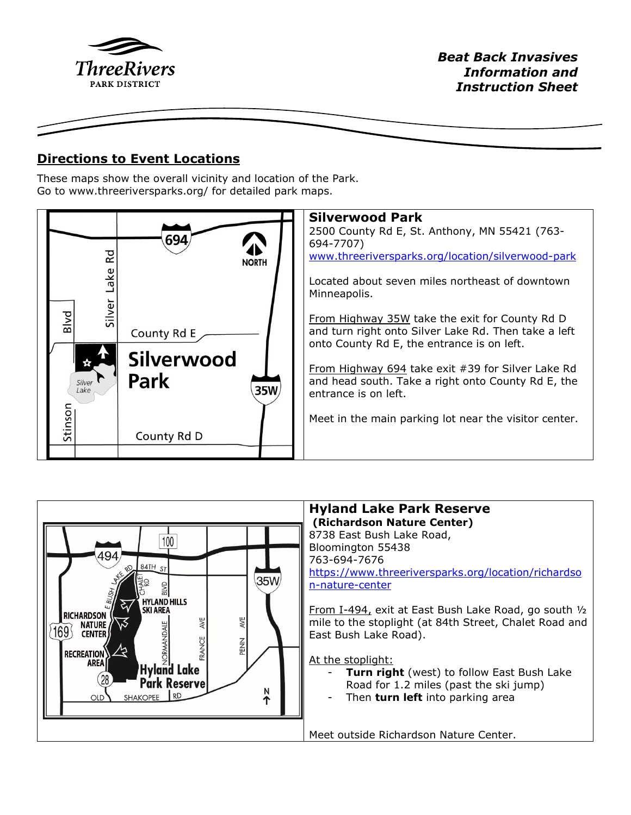

## **Directions to Event Locations**

These maps show the overall vicinity and location of the Park. Go to www.threeriversparks.org/ for detailed park maps.